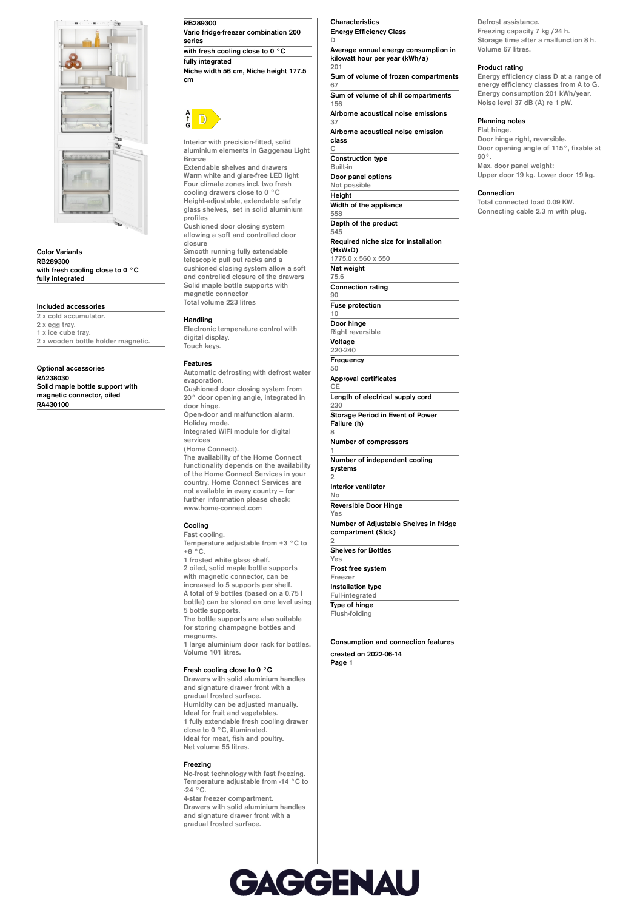

**Color Variants RB289300 with fresh cooling close to 0 °C fully integrated**

## **Included accessories**

**2 x cold accumulator. 2 x egg tray. 1 x ice cube tray. 2 x wooden bottle holder magnetic.**

**Optional accessories**

**RA238030 Solid maple bottle support with magnetic connector, oiled RA430100**

## **RB289300 Vario fridge-freezer combination 200 series with fresh cooling close to 0 °C fully integrated**

**Niche width 56 cm, Niche height 177.5 cm**



**Interior with precision-fitted, solid aluminium elements in Gaggenau Light Bronze**

**Extendable shelves and drawers Warm white and glare-free LED light Four climate zones incl. two fresh cooling drawers close to 0 °C Height-adjustable, extendable safety glass shelves, set in solid aluminium profiles**

**Cushioned door closing system allowing a soft and controlled door closure**

**Smooth running fully extendable telescopic pull out racks and a cushioned closing system allow a soft and controlled closure of the drawers Solid maple bottle supports with magnetic connector Total volume 223 litres**

**Handling**

**Electronic temperature control with digital display. Touch keys.**

### **Features**

**Automatic defrosting with defrost water evaporation. Cushioned door closing system from 20° door opening angle, integrated in door hinge. Open-door and malfunction alarm. Holiday mode. Integrated WiFi module for digital services (Home Connect). The availability of the Home Connect functionality depends on the availability of the Home Connect Services in your country. Home Connect Services are not available in every country – for further information please check: www.home-connect.com**

# **Cooling**

**Fast cooling. Temperature adjustable from +3 °C to +8 °C.**

**1 frosted white glass shelf. 2 oiled, solid maple bottle supports with magnetic connector, can be increased to 5 supports per shelf. A total of 9 bottles (based on a 0.75 l bottle) can be stored on one level using 5 bottle supports. The bottle supports are also suitable for storing champagne bottles and**

**magnums. 1 large aluminium door rack for bottles. Volume 101 litres.**

#### **Fresh cooling close to 0 °C**

**Drawers with solid aluminium handles and signature drawer front with a gradual frosted surface. Humidity can be adjusted manually. Ideal for fruit and vegetables. 1 fully extendable fresh cooling drawer close to 0 °C, illuminated. Ideal for meat, fish and poultry. Net volume 55 litres.**

## **Freezing**

**No-frost technology with fast freezing. Temperature adjustable from -14 °C to -24 °C. 4-star freezer compartment. Drawers with solid aluminium handles and signature drawer front with a**

**gradual frosted surface.**

## **Characteristics Energy Efficiency Class**

**C**

**8**

**1**

**2**

**2**

**D Average annual energy consumption in kilowatt hour per year (kWh/a) 201**

**Sum of volume of frozen compartments 67 Sum of volume of chill compartments 156**

**Airborne acoustical noise emissions 37**

**Airborne acoustical noise emission class**

**Construction type Built-in Door panel options Not possible Height Width of the appliance 558 Depth of the product 545 Required niche size for installation (HxWxD) 1775.0 x 560 x 550 Net weight 75.6 Connection rating 90 Fuse protection 10 Door hinge Right reversible Voltage 220-240 Frequency 50 Approval certificates CE Length of electrical supply cord 230 Storage Period in Event of Power Failure (h) Number of compressors Number of independent cooling systems Interior ventilator No Reversible Door Hinge Yes Number of Adjustable Shelves in fridge compartment (Stck) Shelves for Bottles Yes Frost free system Freezer Installation type Full-integrated**

**Type of hinge Flush-folding**

# **Consumption and connection features**

**created on 2022-06-14 Page 1**

**Defrost assistance. Freezing capacity 7 kg /24 h. Storage time after a malfunction 8 h. Volume 67 litres.**

#### **Product rating**

**Energy efficiency class D at a range of energy efficiency classes from A to G. Energy consumption 201 kWh/year. Noise level 37 dB (A) re 1 pW.**

#### **Planning notes**

**Flat hinge. Door hinge right, reversible. Door opening angle of 115°, fixable at 90°. Max. door panel weight: Upper door 19 kg. Lower door 19 kg.**

#### **Connection**

**Total connected load 0.09 KW. Connecting cable 2.3 m with plug.**